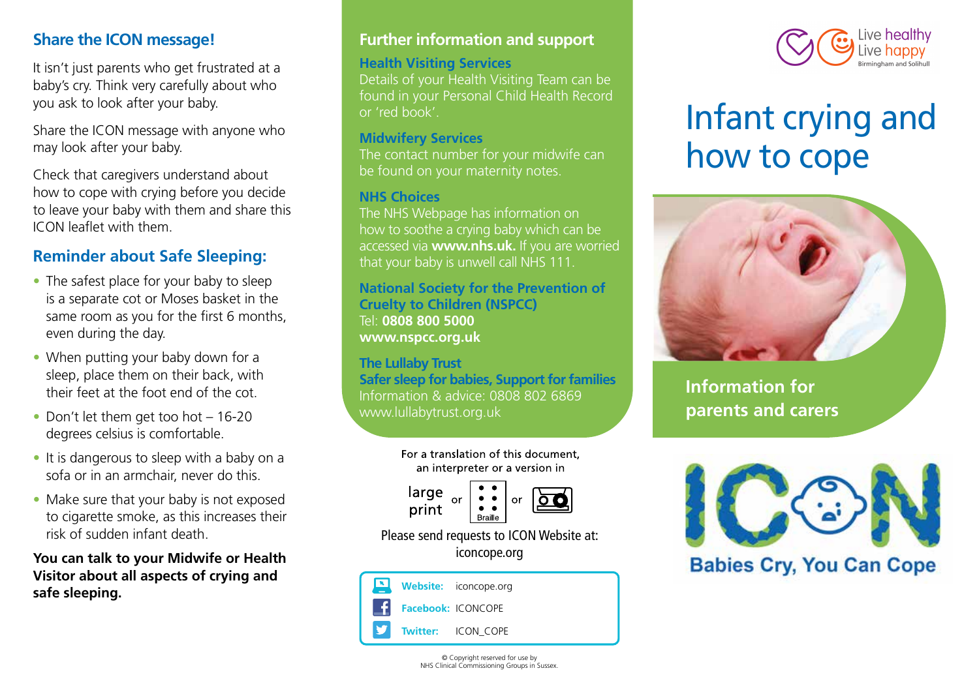## **Share the ICON message!**

It isn't just parents who get frustrated at a baby's cry. Think very carefully about who you ask to look after your baby.

Share the ICON message with anyone who may look after your baby.

Check that caregivers understand about how to cope with crying before you decide to leave your baby with them and share this ICON leaflet with them.

# **Reminder about Safe Sleeping:**

- The safest place for your baby to sleep is a separate cot or Moses basket in the same room as you for the first 6 months, even during the day.
- When putting your baby down for a sleep, place them on their back, with their feet at the foot end of the cot.
- Don't let them get too hot 16-20 degrees celsius is comfortable.
- It is dangerous to sleep with a baby on a sofa or in an armchair, never do this.
- Make sure that your baby is not exposed to cigarette smoke, as this increases their risk of sudden infant death.

**You can talk to your Midwife or Health Visitor about all aspects of crying and safe sleeping.**

# **Further information and support**

### **Health Visiting Services**

Details of your Health Visiting Team can be found in your Personal Child Health Record or 'red book'.

### **Midwifery Services**

The contact number for your midwife can be found on your maternity notes.

### **NHS Choices**

The NHS Webpage has information on how to soothe a crying baby which can be accessed via **www.nhs.uk.** If you are worried that your baby is unwell call NHS 111.

**National Society for the Prevention of Cruelty to Children (NSPCC)** Tel: **0808 800 5000 www.nspcc.org.uk**

**The Lullaby Trust Safer sleep for babies, Support for families** Information & advice: 0808 802 6869 www.lullabytrust.org.uk





iconcope.org







# Infant crying and how to cope



**Information for parents and carers**



# **Babies Cry, You Can Cope**